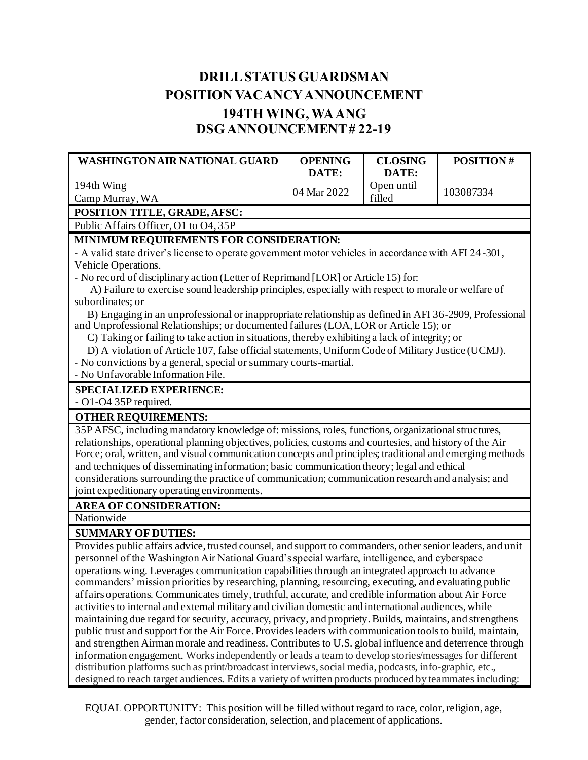## **DRILL STATUS GUARDSMAN POSITION VACANCYANNOUNCEMENT 194TH WING, WA ANG DSG ANNOUNCEMENT # 22-19**

| <b>WASHINGTON AIR NATIONAL GUARD</b>                                                                                                                                                                            | <b>OPENING</b> | <b>CLOSING</b>      | <b>POSITION#</b> |  |
|-----------------------------------------------------------------------------------------------------------------------------------------------------------------------------------------------------------------|----------------|---------------------|------------------|--|
| 194th Wing                                                                                                                                                                                                      | DATE:          | DATE:<br>Open until |                  |  |
| Camp Murray, WA                                                                                                                                                                                                 | 04 Mar 2022    | filled              | 103087334        |  |
| POSITION TITLE, GRADE, AFSC:                                                                                                                                                                                    |                |                     |                  |  |
| Public Affairs Officer, O1 to O4, 35P                                                                                                                                                                           |                |                     |                  |  |
| MINIMUM REQUIREMENTS FOR CONSIDERATION:                                                                                                                                                                         |                |                     |                  |  |
| - A valid state driver's license to operate government motor vehicles in accordance with AFI 24-301,                                                                                                            |                |                     |                  |  |
| Vehicle Operations.                                                                                                                                                                                             |                |                     |                  |  |
| - No record of disciplinary action (Letter of Reprimand [LOR] or Article 15) for:                                                                                                                               |                |                     |                  |  |
| A) Failure to exercise sound leadership principles, especially with respect to morale or welfare of                                                                                                             |                |                     |                  |  |
| subordinates; or                                                                                                                                                                                                |                |                     |                  |  |
| B) Engaging in an unprofessional or inappropriate relationship as defined in AFI 36-2909, Professional                                                                                                          |                |                     |                  |  |
| and Unprofessional Relationships; or documented failures (LOA, LOR or Article 15); or                                                                                                                           |                |                     |                  |  |
| C) Taking or failing to take action in situations, thereby exhibiting a lack of integrity; or                                                                                                                   |                |                     |                  |  |
| D) A violation of Article 107, false official statements, Uniform Code of Military Justice (UCMJ).                                                                                                              |                |                     |                  |  |
| - No convictions by a general, special or summary courts-martial.<br>- No Unfavorable Information File.                                                                                                         |                |                     |                  |  |
|                                                                                                                                                                                                                 |                |                     |                  |  |
| SPECIALIZED EXPERIENCE:                                                                                                                                                                                         |                |                     |                  |  |
| - O1-O4 35P required.                                                                                                                                                                                           |                |                     |                  |  |
| <b>OTHER REQUIREMENTS:</b>                                                                                                                                                                                      |                |                     |                  |  |
| 35P AFSC, including mandatory knowledge of: missions, roles, functions, organizational structures,<br>relationships, operational planning objectives, policies, customs and courtesies, and history of the Air  |                |                     |                  |  |
| Force; oral, written, and visual communication concepts and principles; traditional and emerging methods                                                                                                        |                |                     |                  |  |
| and techniques of disseminating information; basic communication theory; legal and ethical                                                                                                                      |                |                     |                  |  |
| considerations surrounding the practice of communication; communication research and analysis; and                                                                                                              |                |                     |                  |  |
| joint expeditionary operating environments.                                                                                                                                                                     |                |                     |                  |  |
| <b>AREA OF CONSIDERATION:</b>                                                                                                                                                                                   |                |                     |                  |  |
| Nationwide                                                                                                                                                                                                      |                |                     |                  |  |
| <b>SUMMARY OF DUTIES:</b>                                                                                                                                                                                       |                |                     |                  |  |
| Provides public affairs advice, trusted counsel, and support to commanders, other senior leaders, and unit                                                                                                      |                |                     |                  |  |
| personnel of the Washington Air National Guard's special warfare, intelligence, and cyberspace                                                                                                                  |                |                     |                  |  |
| operations wing. Leverages communication capabilities through an integrated approach to advance                                                                                                                 |                |                     |                  |  |
| commanders' mission priorities by researching, planning, resourcing, executing, and evaluating public                                                                                                           |                |                     |                  |  |
| affairs operations. Communicates timely, truthful, accurate, and credible information about Air Force                                                                                                           |                |                     |                  |  |
| activities to internal and external military and civilian domestic and international audiences, while                                                                                                           |                |                     |                  |  |
| maintaining due regard for security, accuracy, privacy, and propriety. Builds, maintains, and strengthens                                                                                                       |                |                     |                  |  |
| public trust and support for the Air Force. Provides leaders with communication tools to build, maintain,                                                                                                       |                |                     |                  |  |
| and strengthen Airman morale and readiness. Contributes to U.S. global influence and deterrence through                                                                                                         |                |                     |                  |  |
| information engagement. Works independently or leads a team to develop stories/messages for different<br>distribution platforms such as print/broadcast interviews, social media, podcasts, info-graphic, etc., |                |                     |                  |  |

designed to reach target audiences. Edits a variety of written products produced by teammates including:

EQUAL OPPORTUNITY: This position will be filled without regard to race, color, religion, age, gender, factor consideration, selection, and placement of applications.